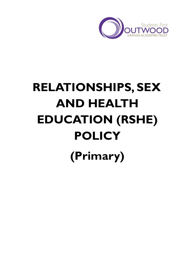

# **RELATIONSHIPS, SEX AND HEALTH EDUCATION (RSHE) POLICY (Primary)**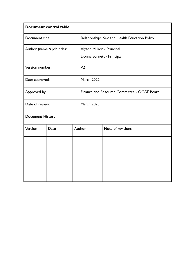| Document control table     |      |  |                                                |                   |  |  |
|----------------------------|------|--|------------------------------------------------|-------------------|--|--|
| Document title:            |      |  | Relationships, Sex and Health Education Policy |                   |  |  |
| Author (name & job title): |      |  | Alyson Million - Principal                     |                   |  |  |
|                            |      |  | Donna Burnett - Principal                      |                   |  |  |
| Version number:            |      |  | V <sub>2</sub>                                 |                   |  |  |
| Date approved:             |      |  | <b>March 2022</b>                              |                   |  |  |
| Approved by:               |      |  | Finance and Resource Committee - OGAT Board    |                   |  |  |
| Date of review:            |      |  | <b>March 2023</b>                              |                   |  |  |
| Document History           |      |  |                                                |                   |  |  |
| Version                    | Date |  | Author                                         | Note of revisions |  |  |
|                            |      |  |                                                |                   |  |  |
|                            |      |  |                                                |                   |  |  |
|                            |      |  |                                                |                   |  |  |
|                            |      |  |                                                |                   |  |  |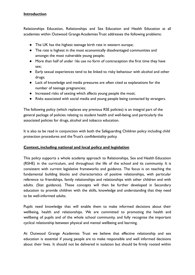# **Introduction**

Relationships Education, Relationships and Sex Education and Health Education at all academies within Outwood Grange Academies Trust addresses the following problems:

- The UK has the highest teenage birth rate in western europe;
- The rate is highest in the most economically disadvantaged communities and amongst the most vulnerable young people;
- More than half of under 16s use no form of contraception the first time they have sex;
- Early sexual experiences tend to be linked to risky behaviour with alcohol and other drugs;
- Lack of knowledge and media pressures are often cited as explanations for the number of teenage pregnancies;
- Increased risks of sexting which affects young people the most;
- Risks associated with social media and young people being contacted by strangers.

The following policy (which replaces any previous RSE policies) is an integral part of the general package of policies relating to student health and well-being, and particularly the associated policies for drugs, alcohol and tobacco education.

It is also to be read in conjunction with both the Safeguarding Children policy including child protection procedures and the Trust's confidentiality policy.

# **Context, including national and local policy and legislation**

This policy supports a whole academy approach to Relationships, Sex and Health Education (RSHE) in the curriculum, and throughout the life of the school and its community. It is consistent with current legislative frameworks and guidance. The focus is on teaching the fundamental building blocks and characteristics of positive relationships, with particular reference to friendships, family relationships and relationships with other children and with adults. (Stat guidance). These concepts will then be further developed in Secondary education to provide children with the skills, knowledge and understanding that they need to be well-informed adults.

Pupils need knowledge that will enable them to make informed decisions about their wellbeing, health and relationships. We are committed to promoting the health and wellbeing of pupils and of the whole school community, and fully recognise the important cyclical relationship between physical and mental wellbeing and learning.

At Outwood Grange Academies Trust we believe that effective relationship and sex education is essential if young people are to make responsible and well informed decisions about their lives. It should not be delivered in isolation but should be firmly rooted within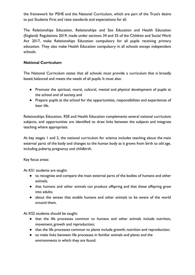the framework for PSHE and the National Curriculum, which are part of the Trust's desire to put Students First and raise standards and expectations for all.

The Relationships Education, Relationships and Sex Education and Health Education (England) Regulations 2019, made under sections 34 and 35 of the Children and Social Work Act 2017, make Relationships Education compulsory for all pupils receiving primary education. They also make Health Education compulsory in all schools except independent schools.

# **National Curriculum**

The National Curriculum states that all schools must provide a curriculum that is broadly based, balanced and meets the needs of all pupils. It must also:

- Promote the spiritual, moral, cultural, mental and physical development of pupils at the school and of society, and
- Prepare pupils at the school for the opportunities, responsibilities and experiences of later life.

Relationships Education, RSE and Health Education complements several national curriculum subjects, and opportunities are identified to draw links between the subjects and integrate teaching where appropriate.

At key stages 1 and 2, the national curriculum for science includes teaching about the main external parts of the body and changes to the human body as it grows from birth to old age, including puberty, pregnancy and childbirth.

Key focus areas:

At KS1 students are taught:

- to recognise and compare the main external parts of the bodies of humans and other animals;
- that humans and other animals can produce offspring and that these offspring grow into adults;
- about the senses that enable humans and other animals to be aware of the world around them.

At KS2 students should be taught:

- that the life processes common to humans and other animals include nutrition, movement, growth and reproduction;
- that the life processes common to plants include growth, nutrition and reproduction;
- to make links between life processes in familiar animals and plants and the environments in which they are found.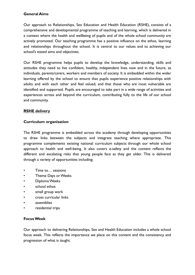# **General Aims**

Our approach to Relationships, Sex Education and Health Education (RSHE), consists of a comprehensive and developmental programme of teaching and learning, which is delivered in a context where the health and wellbeing of pupils and of the whole school community are actively promoted. Our teaching programme has a positive influence on the ethos, learning and relationships throughout the school. It is central to our values and to achieving our school's stated aims and objectives.

Our RSHE programme helps pupils to develop the knowledge, understanding, skills and attitudes they need to live confident, healthy, independent lives now and in the future, as individuals, parents/carers, workers and members of society. It is embedded within the wider learning offered by the school to ensure that pupils experience positive relationships with adults and with each other and feel valued, and that those who are most vulnerable are identified and supported. Pupils are encouraged to take part in a wide range of activities and experiences across and beyond the curriculum, contributing fully to the life of our school and community.

# **RSHE delivery**

#### **Curriculum organisation**

The RSHE programme is embedded across the academy through developing opportunities to draw links between the subjects and integrate teaching where appropriate. This programme complements existing national curriculum subjects through our whole school approach to health and well-being. It also covers e-safety and the content reflects the different and escalating risks that young people face as they get older. This is delivered through a variety of opportunities including:

- Time to... sessions
- Theme Days or Weeks
- Diploma Weeks
- school ethos
- small group work
- cross curricular links
- assemblies
- residential trips

#### **Focus Week**

Our approach to delivering Relationships, Sex and Health Education includes a whole school focus week. This reflects the importance we place on this content and the consistency and progression of what is taught.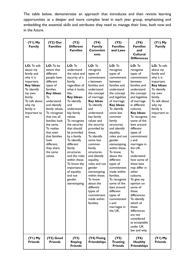The table below, demonstrates an approach that introduces and then revisits learning opportunities at a deeper and more complex level in each year group, emphasising and embedding the essential skills and attributes they need to manage their lives, both now and in the future.

| $(YI)$ My<br><b>Family</b>                                                                                                                                                               | $(Y2)$ Our<br><b>Families</b>                                                                                                                                                                                                                                                                                                             | (Y3)<br><b>Different</b><br><b>Families</b>                                                                                                                                                                                                                                                                                                                                                                                                          | (Y4)<br><b>Family</b><br>Commitm<br>ents                                                                                                                                                                                                                                                                                                                                                                                                                                                         | (Y5)<br><b>Families</b><br>and Laws                                                                                                                                                                                                                                                                                                                                                                                                                                                                                                       | (Y6)<br><b>Families</b><br>and<br><b>Cultural</b><br><b>Differences</b>                                                                                                                                                                                                                                                                                                                                                                                                                                                                                                                            | $(YI)$ My<br><b>Family</b>                                                                                                                                                               |
|------------------------------------------------------------------------------------------------------------------------------------------------------------------------------------------|-------------------------------------------------------------------------------------------------------------------------------------------------------------------------------------------------------------------------------------------------------------------------------------------------------------------------------------------|------------------------------------------------------------------------------------------------------------------------------------------------------------------------------------------------------------------------------------------------------------------------------------------------------------------------------------------------------------------------------------------------------------------------------------------------------|--------------------------------------------------------------------------------------------------------------------------------------------------------------------------------------------------------------------------------------------------------------------------------------------------------------------------------------------------------------------------------------------------------------------------------------------------------------------------------------------------|-------------------------------------------------------------------------------------------------------------------------------------------------------------------------------------------------------------------------------------------------------------------------------------------------------------------------------------------------------------------------------------------------------------------------------------------------------------------------------------------------------------------------------------------|----------------------------------------------------------------------------------------------------------------------------------------------------------------------------------------------------------------------------------------------------------------------------------------------------------------------------------------------------------------------------------------------------------------------------------------------------------------------------------------------------------------------------------------------------------------------------------------------------|------------------------------------------------------------------------------------------------------------------------------------------------------------------------------------------|
| LO: To talk<br>about my<br>family and<br>why it is<br>important.<br><b>Key Ideas:</b><br>To identify<br>my own<br>family.<br>To talk about<br>why my<br>family is<br>important to<br>me. | LO: To be<br>aware that<br>different<br>people have<br>different<br>types of<br>families.<br><b>Key Ideas:</b><br>То<br>understand<br>and identify<br>family values.<br>To recognise<br>that not all<br>families look<br>the same.<br>To realise<br>that even<br>that families<br>look<br>different,<br>they share<br>the same<br>values. | LO: To<br>understand<br>the value and<br>security of a<br>family,<br>regardless of<br>what it looks<br>like.<br><b>Key Ideas:</b><br>To identify<br>and<br>understand<br>key family<br>values.<br>To recognise<br>the security<br>that should<br>be provided<br>by a family.<br>To identify<br>different<br>family<br>structures<br>and the roles<br>within these.<br>To know the<br>importance<br>of equality<br>and not<br>gender<br>stereotyping. | LO: To<br>recognise<br>types of<br>commitment<br>s between<br>families and<br>understand<br>the concept<br>of marriage.<br>Key Ideas:<br>To identify<br>and<br>understand<br>key family<br>values and<br>the security<br>provided by<br>these.<br>To identify<br>some less<br>common<br>family<br>structures<br>and identify<br>equality,<br>roles and not<br>gender<br>stereotyping<br>within these.<br>To know<br>about the<br>different<br>types of<br>commitment<br>made within<br>families. | $LO:$ To<br>recognise<br>types of<br>commitment<br>between<br>families and<br>understand<br>the concept<br>and legalities<br>of marriage.<br><b>Key Ideas:</b><br>To identify<br>some less<br>common<br>family<br>structures<br>and identify<br>equality,<br>roles and not<br>gender<br>stereotyping<br>within these.<br>To know<br>about the<br>different<br>types of<br>commitment<br>made within<br>families.<br>To recognise<br>some of the<br>laws around<br>different<br>types of<br>commitment<br>s and<br>marriages in<br>the UK. | LO: To<br>recognise<br>types of<br>commitment<br>between<br>families and<br>understand<br>the concept<br>and legalities<br>of marriage<br>in different<br>cultures.<br><b>Key Ideas:</b><br>To recognise<br>some of the<br>laws around<br>different<br>types of<br>commitment<br>s and<br>marriages in<br>the UK.<br>To<br>understand<br>how some of<br>these laws<br>may differ in<br>other<br>cultures.<br>To give my<br>opinion on<br>some of<br>these<br>differences.<br>To identify<br>which of<br>these<br>differences<br>are not<br>considered<br>as acceptable<br>under UK<br>law and why. | LO: To talk<br>about my<br>family and<br>why it is<br>important.<br><b>Key Ideas:</b><br>To identify<br>my own<br>family.<br>To talk about<br>why my<br>family is<br>important to<br>me. |
| $(YI)$ My<br><b>Friends</b>                                                                                                                                                              | $(Y2)$ Good<br><b>Friends</b>                                                                                                                                                                                                                                                                                                             | (Y3)<br><b>Staying</b><br><b>Friends</b>                                                                                                                                                                                                                                                                                                                                                                                                             | (Y4) Fixing<br><b>Friendships</b>                                                                                                                                                                                                                                                                                                                                                                                                                                                                | (Y5)<br><b>Trusting</b><br><b>Friends</b>                                                                                                                                                                                                                                                                                                                                                                                                                                                                                                 | (Y6)<br><b>Healthy</b><br><b>Friendships</b>                                                                                                                                                                                                                                                                                                                                                                                                                                                                                                                                                       | $(YI)$ My<br><b>Friends</b>                                                                                                                                                              |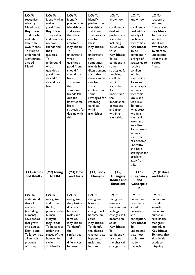| LO: To<br>recognise<br>who my<br>friends are.<br><b>Key Ideas:</b><br>To describe<br>and talk<br>about my<br>own friends.<br>To start to<br>understand<br>what makes<br>a good<br>friend.     | LO: To<br>identify what<br>makes a<br>good friend.<br><b>Key Ideas:</b><br>To talk about<br>and describe<br>my own<br>friends and<br>their<br>qualities.<br>То<br>understand<br>what<br>qualities a<br>good friend<br>should /<br>should not<br>have. | LO: To<br>identify<br>problems in<br>friendships<br>and know<br>that these<br>can be<br>resolved.<br><b>Key Ideas:</b><br>То<br>understand<br>what<br>qualities a<br>good friend<br>should /<br>should not<br>have.<br>To realise<br>that<br>sometimes<br>friends fall<br>out and<br>know some<br>basic<br>strategies for<br>dealing with<br>this. | LO: To<br>identify<br>problems in<br>friendships<br>and know<br>strategies to<br>resolve<br>these.<br><b>Key Ideas:</b><br>То<br>understand<br>that<br>sometimes<br>friends have<br>disagreement<br>s and that<br>these can be<br>resolved.<br>To be<br>confident in<br>some<br>strategies for<br>resolving<br>conflicts<br>within<br>friendships. | LO: To<br>know how<br>to<br>confidently<br>deal with<br>problems in<br>friendships,<br>including<br>issues with<br>trust.<br><b>Key Ideas:</b><br>To be<br>confident in<br>some<br>strategies for<br>resolving<br>conflicts<br>within<br>friendships.<br>То<br>understand<br>the<br>importance<br>of respect<br>and trust<br>within a<br>friendship. | LO: To<br>know how<br>to<br>confidently<br>deal with a<br>variety of<br>problems in<br>friendships.<br><b>Key Ideas:</b><br>To be<br>confident in<br>a range of<br>strategies to<br>resolve<br>conflicts<br>within<br>friendships.<br>To know<br>what respect<br>within a<br>friendship<br>looks and<br>feels like.<br>To know<br>what trust<br>within a<br>friendship<br>looks and<br>feels like.<br>To recognise<br>when a<br>friendship<br>has become<br>unhealthy<br>and have<br>strategies for<br>breaking<br>away from<br>this. | LO: To<br>recognise<br>who my<br>friends are.<br><b>Key Ideas:</b><br>To describe<br>and talk<br>about my<br>own friends.<br>To start to<br>understand<br>what makes<br>a good<br>friend.     |
|-----------------------------------------------------------------------------------------------------------------------------------------------------------------------------------------------|-------------------------------------------------------------------------------------------------------------------------------------------------------------------------------------------------------------------------------------------------------|----------------------------------------------------------------------------------------------------------------------------------------------------------------------------------------------------------------------------------------------------------------------------------------------------------------------------------------------------|----------------------------------------------------------------------------------------------------------------------------------------------------------------------------------------------------------------------------------------------------------------------------------------------------------------------------------------------------|------------------------------------------------------------------------------------------------------------------------------------------------------------------------------------------------------------------------------------------------------------------------------------------------------------------------------------------------------|---------------------------------------------------------------------------------------------------------------------------------------------------------------------------------------------------------------------------------------------------------------------------------------------------------------------------------------------------------------------------------------------------------------------------------------------------------------------------------------------------------------------------------------|-----------------------------------------------------------------------------------------------------------------------------------------------------------------------------------------------|
| (YI) Babies<br>and Adults                                                                                                                                                                     | (Y2) Young<br>to Old                                                                                                                                                                                                                                  | (Y3) Boys<br>and Girls                                                                                                                                                                                                                                                                                                                             | (Y4) Body<br><b>Changes</b>                                                                                                                                                                                                                                                                                                                        | (Y5)<br>Changing<br><b>Bodies and</b><br><b>Emotions</b>                                                                                                                                                                                                                                                                                             | (Y6)<br>Pregnancy<br>and<br>Conceptio<br>n                                                                                                                                                                                                                                                                                                                                                                                                                                                                                            | (YI) Babies<br>and Adults                                                                                                                                                                     |
| LO: To<br>understand<br>that all<br>animals<br>(including<br>humans)<br>have babies<br>that grow<br>into adults.<br><b>Key Ideas:</b><br>To know that<br>all animals<br>produce<br>offspring. | LO: To<br>recognise<br>and order<br>the key<br>phases of the<br>human<br>lifecycle.<br><b>Key Ideas:</b><br>To be able to<br>order the<br>stages of the<br>human life<br>cycle.<br>To identify                                                        | LO: To<br>recognise<br>the physical<br>differences<br>between<br>males and<br>females.<br><b>Key Ideas:</b><br>To identify<br>the<br>similarities<br>and<br>differences<br>between                                                                                                                                                                 | LO: To<br>recognise<br>how my<br>body<br>changes as I<br>become an<br>adult.<br><b>Key Ideas:</b><br>To identify<br>the physical<br>changes that<br>happen to<br>males and<br>females                                                                                                                                                              | LO: To<br>recognise<br>how my<br>body and my<br>feelings<br>changes as I<br>become an<br>adult.<br><b>Key Ideas:</b><br>То<br>confidently<br>talk about<br>the physical<br>changes that                                                                                                                                                              | LO: To<br>understand<br>basic facts<br>about<br>pregnancy<br>and<br>conception.<br><b>Key Ideas:</b><br>To<br>understand<br>that most<br>babies are<br>made<br>through                                                                                                                                                                                                                                                                                                                                                                | LO: To<br>understand<br>that all<br>animals<br>(including<br>humans)<br>have babies<br>that grow<br>into adults.<br><b>Key Ideas:</b><br>To know that<br>all animals<br>produce<br>offspring. |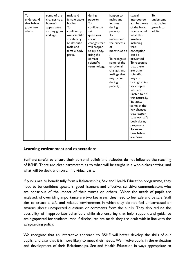| To<br>understand<br>human's<br>that babies<br>grow into<br>appearance<br>adults.<br>and age. | some of the<br>male and<br>changes to a<br>female baby's<br>bodies.<br>Τo<br>confidently<br>as they grow<br>use scientific<br>vocabulary<br>to describe<br>male and<br>female body<br>parts. | during<br>puberty.<br>То<br>confidently<br>ask<br>questions<br>about<br>changes that<br>will happen<br>to my body,<br>using the<br>correct<br>scientific<br>terminology. | happen to<br>males and<br>females<br>during<br>puberty.<br>То<br>understand<br>the process<br>of<br>menstruation<br>To recognise<br>some of the<br>emotional<br>changes and<br>feelings that<br>may occur<br>during<br>puberty. | sexual<br>intercourse<br>and be aware<br>of the basic<br>facts around<br>what this<br>involves,<br>including<br>that<br>conception<br>can be<br>prevented.<br>To recognise<br>that there<br>are other<br>scientific<br>ways of<br>having babies<br>for couples<br>who are<br>unable to do<br>this naturally.<br>To know<br>some of the<br>key changes<br>that happen<br>to a woman's<br>body during<br>pregnancy.<br>To know<br>how babies<br>are born. | To<br>understand<br>that babies<br>grow into<br>adults. |
|----------------------------------------------------------------------------------------------|----------------------------------------------------------------------------------------------------------------------------------------------------------------------------------------------|--------------------------------------------------------------------------------------------------------------------------------------------------------------------------|---------------------------------------------------------------------------------------------------------------------------------------------------------------------------------------------------------------------------------|---------------------------------------------------------------------------------------------------------------------------------------------------------------------------------------------------------------------------------------------------------------------------------------------------------------------------------------------------------------------------------------------------------------------------------------------------------|---------------------------------------------------------|
|----------------------------------------------------------------------------------------------|----------------------------------------------------------------------------------------------------------------------------------------------------------------------------------------------|--------------------------------------------------------------------------------------------------------------------------------------------------------------------------|---------------------------------------------------------------------------------------------------------------------------------------------------------------------------------------------------------------------------------|---------------------------------------------------------------------------------------------------------------------------------------------------------------------------------------------------------------------------------------------------------------------------------------------------------------------------------------------------------------------------------------------------------------------------------------------------------|---------------------------------------------------------|

#### **Learning environment and expectations**

Staff are careful to ensure their personal beliefs and attitudes do not influence the teaching of RSHE. There are clear parameters as to what will be taught in a whole-class setting, and what will be dealt with on an individual basis.

If pupils are to benefit fully from a Relationships, Sex and Health Education programme, they need to be confident speakers, good listeners and effective, sensitive communicators who are conscious of the impact of their words on others.. When the needs of pupils are analysed, of overriding importance are two key areas: they need to feel safe and be safe. Staff aim to create a safe and relaxed environment in which they do not feel embarrassed or anxious about unexpected questions or comments from the pupils. They also reduce the possibility of inappropriate behaviour, while also ensuring that help, support and guidance are signposted for students. And if disclosures are made they are dealt with in line with the safeguarding policy.

We recognise that an interactive approach to RSHE will better develop the skills of our pupils, and also that it is more likely to meet their needs. We involve pupils in the evaluation and development of their Relationships, Sex and Health Education in ways appropriate to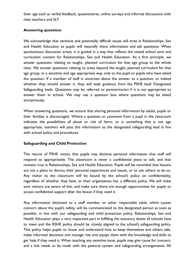their age such as verbal feedback, questionaires, online surveys and informal discussions with class teachers and SLT.

#### **Answering questions**

We acknowledge that sensitive and potentially difficult issues will arise in Relationships, Sex and Health Education as pupils will naturally share information and ask questions. When spontaneous discussion arises, it is guided in a way that reflects the stated school aims and curriculum content for Relationships, Sex and Health Education. As a first principle, we answer questions relating to taught, planned curriculum for that age group to the whole class. We answer questions relating to areas beyond the taught, planned curriculum for that age group, in a sensitive and age appropriate way, only to the pupil or pupils who have asked the question. If a member of staff is uncertain about the answer to a question, or indeed whether they should answer it, they will seek guidance from the PSHE lead/ Designated Safeguarding leads. Questions may be referred to parents/carers if it is not appropriate to answer them in school. We may use a question box where questions may be asked anonymously.

When answering questions, we ensure that sharing personal information by adults, pupils or their families is discouraged. Where a question or comment from a pupil in the classroom indicates the possibilities of abuse or risk of harm, or is something that is not age appropriate, teachers will pass this information to the designated safeguarding lead in line with school policy and procedures.

#### **Safeguarding and Child Protection**

The nature of PSHE means that pupils may disclose personal information that staff will respond to appropriately. The classroom is never a confidential place to talk, and that remains true in Relationships, Sex and Health Education. Pupils will be reminded that lessons are not a place to discuss their personal experiences and issues, or to ask others to do so. Any visitor to the classroom will be bound by the school's policy on confidentiality, regardless of whether they have, or their organisation has, a different policy. We will make sure visitors are aware of this, and make sure there are enough opportunities for pupils to access confidential support after the lesson if they need it.

Any information disclosed to a staff member or other responsible adult, which causes concern about the pupil's safety, will be communicated to the designated person as soon as possible, in line with our safeguarding and child protection policy. Relationships, Sex and Health Education plays a very important part in fulfilling the statutory duties all schools have to meet and the RSHE policy should be closely aligned to the school's safeguarding policy. This policy helps pupils to know and understand how to keep themselves and others safe, make informed decisions and manage risk and equips them with the knowledge and skills to get help if they need it. When teaching any sensitive issue, pupils may give cause for concern, and a link needs to be made with the pastoral system and safeguarding arrangements. All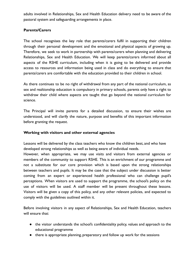adults involved in Relationships, Sex and Health Education delivery need to be aware of the pastoral system and safeguarding arrangements in place.

# **Parents/Carers**

The school recognises the key role that parents/carers fulfil in supporting their children through their personal development and the emotional and physical aspects of growing up. Therefore, we seek to work in partnership with parents/carers when planning and delivering Relationships, Sex and Health Education. We will keep parents/carers informed about all aspects of the RSHE curriculum, including when it is going to be delivered and provide access to resources and information being used in class and do everything to ensure that parents/carers are comfortable with the education provided to their children in school.

As there continues to be no right of withdrawal from any part of the national curriculum, as sex and realtionship education is compulsory in primary schools, parents only have a right to withdraw their child where aspects are taught that go beyond the national curriculum for science.

The Principal will invite parents for a detailed discussion, to ensure their wishes are understood, and will clarify the nature, purpose and benefits of this important information before granting the request.

# **Working with visitors and other external agencies**

Lessons will be delivered by the class teachers who know the children best, and who have developed strong relationships as well as being aware of individual needs.

However, when appropriate, we may use visits and visitors from external agencies or members of the community to support RSHE. This is an enrichment of our programme and not a substitute for our core provision which is based upon the strong relationships between teachers and pupils. It may be the case that the subject under discussion is better coming from an expert or experienced health professional who can challenge pupil's perceptions. When visitors are used to support the programme, the school's policy on the use of visitors will be used. A staff member will be present throughout these lessons. Visitors will be given a copy of this policy, and any other relevant policies, and expected to comply with the guidelines outlined within it.

Before involving visitors in any aspect of Relationships, Sex and Health Education, teachers will ensure that:

- the visitor understands the school's confidentiality policy, values and approach to the educational programme
- there is appropriate planning, preparatory and follow up work for the sessions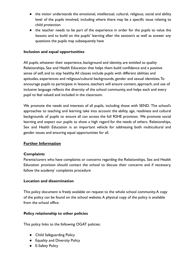- the visitor understands the emotional, intellectual, cultural, religious, social and ability level of the pupils involved, including where there may be a specific issue relating to child protection
- the teacher needs to be part of the experience in order for the pupils to value the lessons and to build on the pupils' learning after the session/s as well as answer any questions the pupils may subsequently have

# **Inclusion and equal opportunities**

All pupils, whatever their experience, background and identity, are entitled to quality Relationships, Sex and Health Education that helps them build confidence and a positive sense of self, and to stay healthy.All classes include pupils with different abilities and aptitudes, experiences and religious/cultural backgrounds, gender and sexual identities.To encourage pupils to participate in lessons, teachers will ensure content, approach, and use of inclusive language reflects the diversity of the school community, and helps each and every pupil to feel valued and included in the classroom.

We promote the needs and interests of all pupils, including those with SEND. The school's approaches to teaching and learning take into account the ability, age, readiness and cultural backgrounds of pupils to ensure all can access the full RSHE provision. We promote social learning and expect our pupils to show a high regard for the needs of others. Relationships, Sex and Health Education is an important vehicle for addressing both multicultural and gender issues and ensuring equal opportunities for all.

#### **Further Information**

#### **Complaints**

Parents/carers who have complaints or concerns regarding the Relationships, Sex and Health Education provision should contact the school to discuss their concerns and if necessary, follow the academy' complaints procedure

#### **Location and dissemination**

This policy document is freely available on request to the whole school community.A copy of the policy can be found on the school website.A physical copy of the policy is available from the school office.

#### **Policy relationship to other policies**

This policy links to the following OGAT policies:

- Child Safeguarding Policy
- Equality and Diversity Policy
- E-Safety Policy